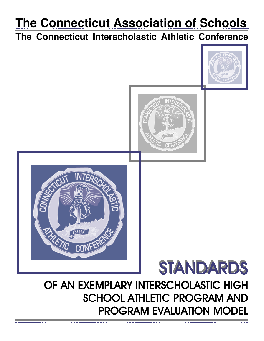# **The Connecticut Association of Schools**

## **The Connecticut Interscholastic Athletic Conference**

STANDARDS OF AN EXEMPLARY INTERSCHOLASTIC HIGH SCHOOL ATHLETIC PROGRAM AND PROGRAM EVALUATION MODEL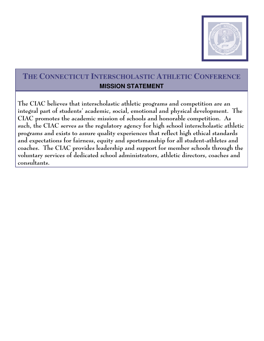

### **THE CONNECTICUT INTERSCHOLASTIC ATHLETIC CONFERENCE MISSION STATEMENT**

The CIAC believes that interscholastic athletic programs and competition are an integral part of students' academic, social, emotional and physical development. The CIAC promotes the academic mission of schools and honorable competition. As such, the CIAC serves as the regulatory agency for high school interscholastic athletic programs and exists to assure quality experiences that reflect high ethical standards and expectations for fairness, equity and sportsmanship for all student-athletes and coaches. The CIAC provides leadership and support for member schools through the voluntary services of dedicated school administrators, athletic directors, coaches and consultants.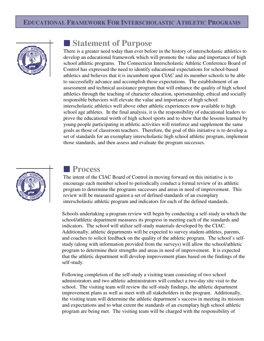### **EDUCATIONAL FRAMEWORK FOR INTERSCHOLASTIC ATHLETIC PROGRAMS**



### **Example Statement of Purpose**

There is a greater need today than ever before in the history of interscholastic athletics to develop an educational framework which will promote the value and importance of high school athletic programs. The Connecticut Interscholastic Athletic Conference Board of Control has expressed the need to identify educational expectations for school-based athletics and believes that it is incumbent upon CIAC and its member schools to be able to successfully advance and accomplish those expectations. The establishment of an assessment and technical assistance program that will enhance the quality of high school athletics through the teaching of character education, sportsmanship, ethical and socially responsible behaviors will elevate the value and importance of high school interscholastic athletics well above other athletic experiences now available to high school age athletes. In the final analysis, it is the responsibility of educational leaders to prove the educational worth of high school sports and to show that the lessons learned by young people participating in athletic activities will reinforce and supplement the same goals as those of classroom teachers. Therefore, the goal of this initiative is to develop a set of standards for an exemplary interscholastic high school athletic program, implement those standards, and then assess and evaluate the program successes.



### O **Process**

The intent of the CIAC Board of Control in moving forward on this initiative is to encourage each member school to periodically conduct a formal review of its athletic program to determine the programs successes and areas in need of improvement. This review will be measured against a set of defined standards of an exemplary interscholastic athletic program and indicators for each of the defined standards.

Schools undertaking a program review will begin by conducting a self-study in which the school/athletic department measures its progress in meeting each of the standards and indicators. The school will utilize self-study materials developed by the CIAC. Additionally, athletic departments will be expected to survey student-athletes, parents, and coaches to solicit feedback on the quality of the athletic program. The school's selfstudy (along with information provided from the surveys) will allow the school/athletic program to determine their strengths and areas in need of improvement. It is expected that the athletic department will develop improvement plans based on the findings of the self-study.

Following completion of the self-study a visiting team consisting of two school administrators and two athletic administrators will conduct a two-day site visit to the school. The visiting team will review the self-study findings, the athletic department improvement plans as well as meet with all stakeholders in the program. Additionally, the visiting team will determine the athletic department's success in meeting its mission and expectations and to what extent the standards of an exemplary high school athletic program are being met. The visiting team will be charged with the responsibility of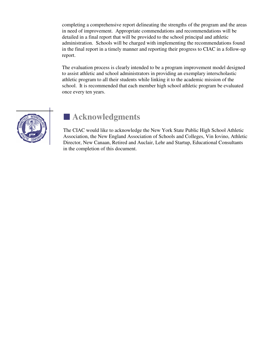completing a comprehensive report delineating the strengths of the program and the areas in need of improvement. Appropriate commendations and recommendations will be detailed in a final report that will be provided to the school principal and athletic administration. Schools will be charged with implementing the recommendations found in the final report in a timely manner and reporting their progress to CIAC in a follow-up report.

The evaluation process is clearly intended to be a program improvement model designed to assist athletic and school administrators in providing an exemplary interscholastic athletic program to all their students while linking it to the academic mission of the school. It is recommended that each member high school athletic program be evaluated once every ten years.



## **E** Acknowledgments

The CIAC would like to acknowledge the New York State Public High School Athletic Association, the New England Association of Schools and Colleges, Vin Iovino, Athletic Director, New Canaan, Retired and Auclair, Lehr and Startup, Educational Consultants in the completion of this document.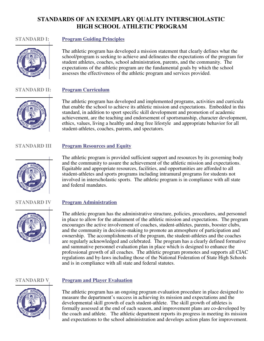### **STANDARDS OF AN EXEMPLARY QUALITY INTERSCHOLASTIC HIGH SCHOOL ATHLETIC PROGRAM**

#### **STANDARD I: Program Guiding Principles**



The athletic program has developed a mission statement that clearly defines what the school/program is seeking to achieve and delineates the expectations of the program for student athletes, coaches, school administration, parents, and the community. The expectations of the athletic program are the fundamental goals by which the school assesses the effectiveness of the athletic program and services provided.

#### **STANDARD II: Program Curriculum**



The athletic program has developed and implemented programs, activities and curricula that enable the school to achieve its athletic mission and expectations. Embedded in this standard, in addition to sport specific skill development and promotion of academic achievement, are the teaching and endorsement of sportsmanship, character development, ethics, values, living a healthy and drug free lifestyle and appropriate behavior for all student-athletes, coaches, parents, and spectators.

#### **STANDARD III Program Resources and Equity**



#### The athletic program is provided sufficient support and resources by its governing body and the community to assure the achievement of the athletic mission and expectations. Equitable and appropriate resources, facilities, and opportunities are afforded to all student-athletes and sports programs including intramural programs for students not involved in interscholastic sports. The athletic program is in compliance with all state and federal mandates.

#### **STANDARD IV Program Administration**

The athletic program has the administrative structure, policies, procedures, and personnel in place to allow for the attainment of the athletic mission and expectations. The program encourages the active involvement of coaches, student-athletes, parents, booster clubs, and the community in decision-making to promote an atmosphere of participation and ownership. The accomplishments of the program, the student-athletes and the coaches are regularly acknowledged and celebrated. The program has a clearly defined formative and summative personnel evaluation plan in place which is designed to enhance the professional growth of all coaches. The athletic program promotes and supports all CIAC regulations and by-laws including those of the National Federation of State High Schools and is in compliance with all state and federal statutes.



#### **STANDARD V Program and Player Evaluation**

The athletic program has an ongoing program evaluation procedure in place designed to measure the department's success in achieving its mission and expectations and the developmental skill growth of each student-athlete. The skill growth of athletes is formally assessed at the end of each season, and improvement plans are co-developed by the coach and athlete. The athletic department reports its progress in meeting its mission and expectations to the school administration and develops action plans for improvement.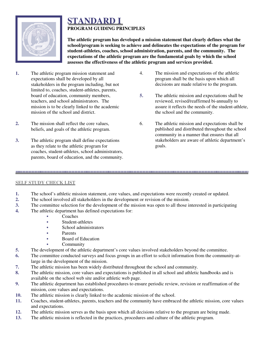

### **STANDARD I PROGRAM GUIDING PRINCIPLES**

**The athletic program has developed a mission statement that clearly defines what the school/program is seeking to achieve and delineates the expectations of the program for student-athletes, coaches, school administration, parents, and the community. The expectations of the athletic program are the fundamental goals by which the school assesses the effectiveness of the athletic program and services provided.**

- **1.** The athletic program mission statement and expectations shall be developed by all stakeholders in the program including, but not limited to, coaches, student-athletes, parents, board of education, community members, teachers, and school administrators. The mission is to be clearly linked to the academic mission of the school and district.
- **2.** The mission shall reflect the core values, beliefs, and goals of the athletic program.
- **3.** The athletic program shall define expectations as they relate to the athletic program for coaches, student-athletes, school administrators, parents, board of education, and the community.
- 4. The mission and expectations of the athletic program shall be the basis upon which all decisions are made relative to the program.
- **5.** The athletic mission and expectations shall be reviewed, revised/reaffirmed bi-annually to assure it reflects the needs of the student-athlete, the school and the community.
- 6. The athletic mission and expectations shall be published and distributed throughout the school community in a manner that ensures that all stakeholders are aware of athletic department's goals.

#### **SELF STUDY CHECK LIST**

- **1.** The school's athletic mission statement, core values, and expectations were recently created or updated.
- **2.** The school involved all stakeholders in the development or revision of the mission.
- **3.** The committee selection for the development of the mission was open to all those interested in participating

- **4.** The athletic department has defined expectations for:
	- **Coaches**
	- $\bullet$  Student-athletes
	- School administrators
	- $\bullet$  Parents
		- Board of Education
	- **Community**
- **5.** The development of the athletic department's core values involved stakeholders beyond the committee.
- **6.** The committee conducted surveys and focus groups in an effort to solicit information from the community-atlarge in the development of the mission.
- **7.** The athletic mission has been widely distributed throughout the school and community.
- **8.** The athletic mission, core values and expectations is published in all school and athletic handbooks and is available on the school web site and/or athletic web page.
- **9.** The athletic department has established procedures to ensure periodic review, revision or reaffirmation of the mission, core values and expectations.
- **10.** The athletic mission is clearly linked to the academic mission of the school.
- **11.** Coaches, student-athletes, parents, teachers and the community have embraced the athletic mission, core values and expectations.
- **12.** The athletic mission serves as the basis upon which all decisions relative to the program are being made.
- **13.** The athletic mission is reflected in the practices, procedures and culture of the athletic program.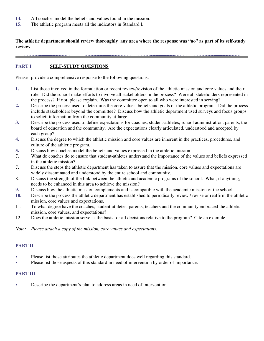- **14.** All coaches model the beliefs and values found in the mission.
- **15.** The athletic program meets all the indicators in Standard I.

**The athletic department should review thoroughly any area where the response was "no" as part of its self-study review.**

#### **PART I SELF-STUDY QUESTIONS**

Please provide a comprehensive response to the following questions:

- **1.** List those involved in the formulation or recent review/revision of the athletic mission and core values and their role. Did the school make efforts to involve all stakeholders in the process? Were all stakeholders represented in the process? If not, please explain. Was the committee open to all who were interested in serving?
- **2.** Describe the process used to determine the core values, beliefs and goals of the athletic program. Did the process include stakeholders beyond the committee? Discuss how the athletic department used surveys and focus groups to solicit information from the community at-large.
- **3.** Describe the process used to define expectations for coaches, student-athletes, school administration, parents, the board of education and the community. Are the expectations clearly articulated, understood and accepted by each group?
- **4.** Discuss the degree to which the athletic mission and core values are inherent in the practices, procedures, and culture of the athletic program.
- **5.** Discuss how coaches model the beliefs and values expressed in the athletic mission.
- 7. What do coaches do to ensure that student-athletes understand the importance of the values and beliefs expressed in the athletic mission?
- 7. Discuss the steps the athletic department has taken to assure that the mission, core values and expectations are widely disseminated and understood by the entire school and community.
- 8. Discuss the strength of the link between the athletic and academic programs of the school. What, if anything, needs to be enhanced in this area to achieve the mission?
- **9.** Discuss how the athletic mission complements and is compatible with the academic mission of the school.
- **10.** Describe the process the athletic department has established to periodically review / revise or reaffirm the athletic mission, core values and expectations.
- 11. To what degree have the coaches, student-athletes, parents, teachers and the community embraced the athletic mission, core values, and expectations?
- 12. Does the athletic mission serve as the basis for all decisions relative to the program? Cite an example.

*Note: Please attach a copy of the mission, core values and expectations.*

#### **PART II**

- Please list those attributes the athletic department does well regarding this standard.
- Please list those aspects of this standard in need of intervention by order of importance.

#### **PART III**

• Describe the department's plan to address areas in need of intervention.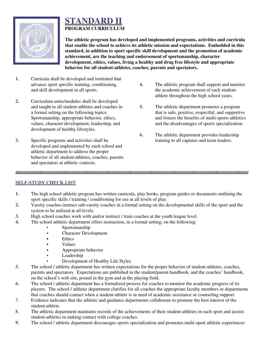

### **STANDARD II PROGRAM CURRICULUM**

**The athletic program has developed and implemented programs, activities and curricula that enable the school to achieve its athletic mission and expectations. Embedded in this standard, in addition to sport specific skill development and the promotion of academic achievement, are the teaching and endorsement of sportsmanship, character development, ethics, values, living a healthy and drug free lifestyle and appropriate behavior for all student-athletes, coaches, parents and spectators.**

- **1.** Curricula shall be developed and instituted that advance sport specific training, conditioning, and skill development in all sports.
- **2.** Curriculum units/modules shall be developed and taught to all student-athletes and coaches in a formal setting on the following topics: Sportsmanship, appropriate behavior, ethics, values, character development, leadership, and development of healthy lifestyles.
- **3.** Specific programs and activities shall be developed and implemented by each school and athletic department to address the proper behavior of all student-athletes, coaches, parents and spectators at athletic contests.
- **4.** The athletic program shall support and monitor the academic achievement of each studentathlete throughout the high school years.
- **5.** The athletic department promotes a program that is safe, positive, respectful, and supportive and fosters the benefits of multi-sports athletics and the disadvantages of sports specialization.
- **6.** The athletic department provides leadership training to all captains and team leaders.

#### **SELF-STUDY CHECK LIST**

**1.** The high school athletic program has written curricula, play books, program guides or documents outlining the sport specific skills / training / conditioning for use at all levels of play.

- **2.** Varsity coaches instruct sub-varsity coaches in a formal setting on the developmental skills of the sport and the system to be utilized at all levels.
- **3.** High school coaches work with and/or instruct / train coaches at the youth league level.
- **4.** The school athletic department offers instruction, in a formal setting, on the following:
	- $\bullet$  Sportsmanship
	- Character Development
	- **Ethics**
	- Values
	- Appropriate behavior
	- $\bullet$  Leadership
	- Development of Healthy Life Styles
- **5.** The school / athletic department has written expectations for the proper behavior of student-athletes, coaches, parents and spectators. Expectations are published in the student/parent handbook, and the coaches' handbook, on the school's web site, posted in the gym and at the playing field.
- **6.** The school / athletic department has a formalized process for coaches to monitor the academic progress of its players. The school / athletic department clarifies for all coaches the appropriate faculty members or departments that coaches should contact when a student-athlete is in need of academic assistance or counseling support.
- 7. Evidence indicates that the athletic and guidance departments collaborate to promote the best interest of the student-athlete.
- 8. The athletic department maintains records of the achievements of their student-athletes in each sport and assists student-athletes in making contact with college coaches.
- **9.** The school / athletic department discourages sports specialization and promotes multi-sport athletic experiences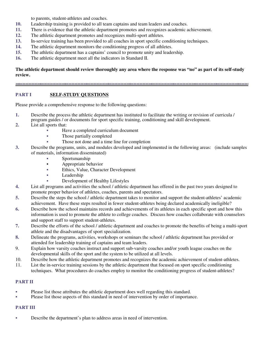to parents, student-athletes and coaches.

- **10.** Leadership training is provided to all team captains and team leaders and coaches.
- **11.** There is evidence that the athletic department promotes and recognizes academic achievement.
- **12.** The athletic department promotes and recognizes multi-sport athletes.
- **13.** In-service training has been provided to all coaches in sport specific conditioning techniques.
- **14.** The athletic department monitors the conditioning progress of all athletes.
- **15.** The athletic department has a captains' council to promote unity and leadership.
- **16.** The athletic department meet all the indicators in Standard II.

#### **The athletic department should review thoroughly any area where the response was "no" as part of its self-study review.**

#### **PART I** SELF-STUDY QUESTIONS

Please provide a comprehensive response to the following questions:

- **1.** Describe the process the athletic department has instituted to facilitate the writing or revision of curricula / program guides / or documents for sport specific training, conditioning and skill development.
- **2.** List all sports that:
	- Have a completed curriculum document
	- Those partially completed
	- Those not done and a time line for completion
- **3.** Describe the programs, units, and modules developed and implemented in the following areas: (include samples of materials, information disseminated)
	- $\bullet$  Sportsmanship
	- $\bullet$  Appropriate behavior
	- Ethics, Value, Character Development
	- Leadership
	- Development of Healthy Lifestyles
- **4.** List all programs and activities the school / athletic department has offered in the past two years designed to promote proper behavior of athletes, coaches, parents and spectators.
- **5.** Describe the steps the school / athletic department takes to monitor and support the student-athletes' academic achievement. Have these steps resulted in fewer student-athletes being declared academically ineligible?
- **6.** Describe how the school maintains records and achievements of its athletes in each specific sport and how this information is used to promote the athlete to college coaches. Discuss how coaches collaborate with counselors and support staff to support student-athletes.
- **7.** Describe the efforts of the school / athletic department and coaches to promote the benefits of being a multi-sport athlete and the disadvantages of sport specialization.
- **8.** Delineate the programs, activities, workshops or seminars the school / athletic department has provided or attended for leadership training of captains and team leaders.
- 9. Explain how varsity coaches instruct and support sub-varsity coaches and/or youth league coaches on the developmental skills of the sport and the system to be utilized at all levels.
- 10. Describe how the athletic department promotes and recognizes the academic achievement of student-athletes.
- 11. List the in-service training sessions by the athletic department that focused on sport specific conditioning techniques. What procedures do coaches employ to monitor the conditioning progress of student-athletes?

#### **PART II**

- Please list those attributes the athletic department does well regarding this standard.
- Please list those aspects of this standard in need of intervention by order of importance.

#### **PART III**

• Describe the department's plan to address areas in need of intervention.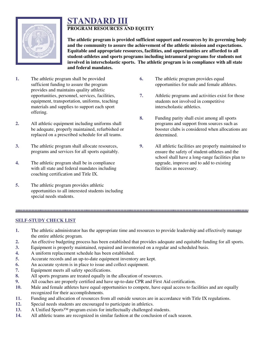

#### **STANDARD III PROGRAM RESOURCES AND EQUITY**

**The athletic program is provided sufficient support and resources by its governing body and the community to assure the achievement of the athletic mission and expectations. Equitable and appropriate resources, facilities, and opportunities are afforded to all student-athletes and sports programs including intramural programs for students not involved in interscholastic sports. The athletic program is in compliance with all state and federal mandates.**

- **1.** The athletic program shall be provided sufficient funding to assure the program provides and maintains quality athletic opportunities, personnel, services, facilities, equipment, transportation, uniforms, teaching materials and supplies to support each sport offering.
- **2.** All athletic equipment including uniforms shall be adequate, properly maintained, refurbished or replaced on a prescribed schedule for all teams.
- **3.** The athletic program shall allocate resources, programs and services for all sports equitably.
- **4.** The athletic program shall be in compliance with all state and federal mandates including coaching certification and Title IX.
- **5.** The athletic program provides athletic opportunities to all interested students including special needs students.
- **6.** The athletic program provides equal opportunities for male and female athletes.
- **7.** Athletic programs and activities exist for those students not involved in competitive interscholastic athletics.
- **8.** Funding parity shall exist among all sports programs and support from sources such as booster clubs is considered when allocations are determined.
- **9.** All athletic facilities are properly maintained to ensure the safety of student-athletes and the school shall have a long-range facilities plan to upgrade, improve and to add to existing facilities as necessary.

**SELF-STUDY CHECK LIST**

**1.** The athletic administrator has the appropriate time and resources to provide leadership and effectively manage the entire athletic program.

- **2.** An effective budgeting process has been established that provides adequate and equitable funding for all sports.
- **3.** Equipment is properly maintained, repaired and inventoried on a regular and scheduled basis.
- **4.** A uniform replacement schedule has been established.
- **5.** Accurate records and an up-to-date equipment inventory are kept.
- **6.** An accurate system is in place to issue and collect equipment.
- **7.** Equipment meets all safety specifications.
- **8.** All sports programs are treated equally in the allocation of resources.
- **9.** All coaches are properly certified and have up-to-date CPR and First Aid certification.
- **10.** Male and female athletes have equal opportunities to compete, have equal access to facilities and are equally recognized for their accomplishments.
- **11.** Funding and allocation of resources from all outside sources are in accordance with Title IX regulations.
- **12.** Special needs students are encouraged to participate in athletics.
- **13.** A Unified Sports™ program exists for intellectually challenged students.
- **14.** All athletic teams are recognized in similar fashion at the conclusion of each season.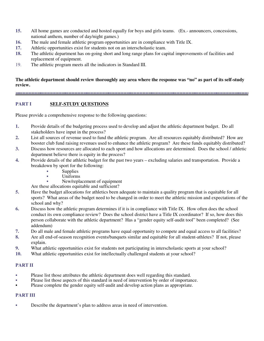- **15.** All home games are conducted and hosted equally for boys and girls teams. (Ex.- announcers, concessions, national anthem, number of day/night games.)
- **16.** The male and female athletic program opportunities are in compliance with Title IX.
- **17.** Athletic opportunities exist for students not on an interscholastic team.
- **18.** The athletic department has on-going short and long range plans for capital improvements of facilities and replacement of equipment.
- 19. The athletic program meets all the indicators in Standard III.

#### **The athletic department should review thoroughly any area where the response was "no" as part of its self-study review.**

#### **PART I** SELF-STUDY QUESTIONS

Please provide a comprehensive response to the following questions:

- **1.** Provide details of the budgeting process used to develop and adjust the athletic department budget. Do all stakeholders have input in the process?
- **2.** List all sources of revenue used to fund the athletic program. Are all resources equitably distributed? How are booster club fund raising revenues used to enhance the athletic program? Are these funds equitably distributed?
- **3.** Discuss how resources are allocated to each sport and how allocations are determined. Does the school / athletic department believe there is equity in the process?
- **4.** Provide details of the athletic budget for the past two years excluding salaries and transportation. Provide a breakdown by sport for the following:
	- $\bullet$  Supplies
		- C Uniforms
	- New/replacement of equipment

Are these allocations equitable and sufficient?

- **5.** Have the budget allocations for athletics been adequate to maintain a quality program that is equitable for all sports? What areas of the budget need to be changed in order to meet the athletic mission and expectations of the school and why?
- **6.** Discuss how the athletic program determines if it is in compliance with Title IX. How often does the school conduct its own compliance review? Does the school district have a Title IX coordinator? If so, how does this person collaborate with the athletic department? Has a "gender equity self-audit tool" been completed? (See addendum)
- **7.** Do all male and female athletic programs have equal opportunity to compete and equal access to all facilities?
- **8.** Are all end-of-season recognition events/banquets similar and equitable for all student-athletes? If not, please explain.
- **9.** What athletic opportunities exist for students not participating in interscholastic sports at your school?
- **10.** What athletic opportunities exist for intellectually challenged students at your school?

#### **PART II**

- Please list those attributes the athletic department does well regarding this standard.
- Please list those aspects of this standard in need of intervention by order of importance.
- Please complete the gender equity self-audit and develop action plans as appropriate.

#### **PART III**

• Describe the department's plan to address areas in need of intervention.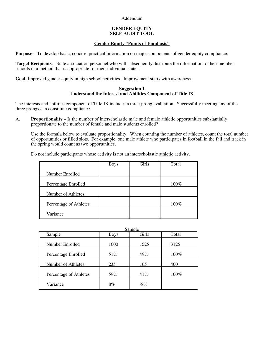Addendum

#### **GENDER EQUITY SELF-AUDIT TOOL**

#### **Gender Equity "Points of Emphasis"**

**Purpose**: To develop basic, concise, practical information on major components of gender equity compliance.

**Target Recipients**: State association personnel who will subsequently distribute the information to their member schools in a method that is appropriate for their individual states.

**Goal**: Improved gender equity in high school activities. Improvement starts with awareness.

#### **Suggestion 1 Understand the Interest and Abilities Component of Title IX**

The interests and abilities component of Title IX includes a three-prong evaluation. Successfully meeting any of the three prongs can constitute compliance.

A. **Proportionality** – Is the number of interscholastic male and female athletic opportunities substantially proportionate to the number of female and male students enrolled?

Use the formula below to evaluate proportionality. When counting the number of athletes, count the total number of opportunities or filled slots. For example, one male athlete who participates in football in the fall and track in the spring would count as two opportunities.

Do not include participants whose activity is not an interscholastic athletic activity.

|                        | <b>Boys</b> | Girls | Total |
|------------------------|-------------|-------|-------|
| Number Enrolled        |             |       |       |
| Percentage Enrolled    |             |       | 100%  |
| Number of Athletes     |             |       |       |
| Percentage of Athletes |             |       | 100%  |
| Variance               |             |       |       |

|                        |             | Sample |       |
|------------------------|-------------|--------|-------|
| Sample                 | <b>Boys</b> | Girls  | Total |
| Number Enrolled        | 1600        | 1525   | 3125  |
| Percentage Enrolled    | 51%         | 49%    | 100%  |
| Number of Athletes     | 235         | 165    | 400   |
| Percentage of Athletes | 59%         | 41%    | 100%  |
| Variance               | 8%          | $-8\%$ |       |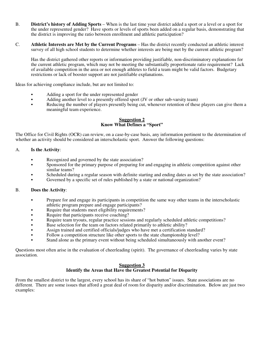- B. **District's history of Adding Sports** When is the last time your district added a sport or a level or a sport for the under represented gender? Have sports or levels of sports been added on a regular basis, demonstrating that the district is improving the ratio between enrollment and athletic participation?
- C. **Athletic Interests are Met by the Current Programs** Has the district recently conducted an athletic interest survey of all high school students to determine whether interests are being met by the current athletic program?

Has the district gathered other reports or information providing justifiable, non-discriminatory explanations for the current athletic program, which may not be meeting the substantially proportionate ratio requirement? Lack of available competition in the area or not enough athletes to field a team might be valid factors. Budgetary restrictions or lack of booster support are not justifiable explanations.

Ideas for achieving compliance include, but are not limited to:

- Adding a sport for the under represented gender
- Adding another level to a presently offered sport (JV or other sub-varsity team)
- Reducing the number of players presently being cut, whenever retention of these players can give them a meaningful team experience.

#### **Suggestion 2 Know What Defines a "Sport"**

The Office for Civil Rights (OCR) can review, on a case-by-case basis, any information pertinent to the determination of whether an activity should be considered an interscholastic sport. Answer the following questions:

#### A. **Is the Activity**:

- Recognized and governed by the state association?
- C Sponsored for the primary purpose of preparing for and engaging in athletic competition against other similar teams?
- Scheduled during a regular season with definite starting and ending dates as set by the state association?
- Governed by a specific set of rules published by a state or national organization?

#### B. **Does the Activity**:

- Prepare for and engage its participants in competition the same way other teams in the interscholastic athletic program prepare and engage participants?
- Require that students meet eligibility requirements?
- Require that participants receive coaching?
- Require team tryouts, regular practice sessions and regularly scheduled athletic competitions?
- $\bullet$  Base selection for the team on factors related primarily to athletic ability?
- Assign trained and certified officials/judges who have met a certification standard?
- Follow a competition structure like other sports to the state championship level?
- C Stand alone as the primary event without being scheduled simultaneously with another event?

Questions most often arise in the evaluation of cheerleading (spirit). The governance of cheerleading varies by state association.

#### **Suggestion 3 Identify the Areas that Have the Greatest Potential for Disparity**

From the smallest district to the largest, every school has its share of "hot button" issues. State associations are no different. There are some issues that afford a great deal of room for disparity and/or discrimination. Below are just two examples: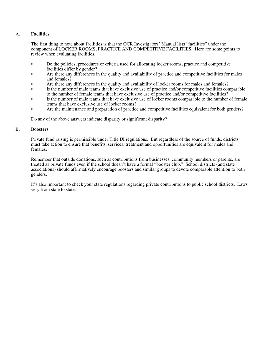#### A. **Facilities**

The first thing to note about facilities is that the OCR Investigators' Manual lists "facilities" under the component of LOCKER ROOMS, PRACTICE AND COMPETITIVE FACILITIES. Here are some points to review when evaluating facilities.

- Do the policies, procedures or criteria used for allocating locker rooms, practice and competitive facilities differ by gender?
- Are there any differences in the quality and availability of practice and competitive facilities for males and females?
- Are there any differences in the quality and availability of locker rooms for males and females?
- Is the number of male teams that have exclusive use of practice and/or competitive facilities comparable to the number of female teams that have exclusive use of practice and/or competitive facilities?
- Is the number of male teams that have exclusive use of locker rooms comparable to the number of female teams that have exclusive use of locker rooms?
- Are the maintenance and preparation of practice and competitive facilities equivalent for both genders?

Do any of the above answers indicate disparity or significant disparity?

#### B. **Boosters**

Private fund raising is permissible under Title IX regulations. But regardless of the source of funds, districts must take action to ensure that benefits, services, treatment and opportunities are equivalent for males and females.

Remember that outside donations, such as contributions from businesses, community members or parents, are treated as private funds even if the school doesn't have a formal "booster club." School districts (and state associations) should affirmatively encourage boosters and similar groups to devote comparable attention to both genders.

It's also important to check your state regulations regarding private contributions to public school districts. Laws very from state to state.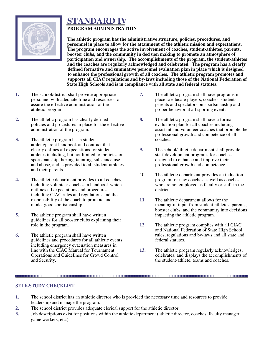

### **STANDARD IV PROGRAM ADMINISTRATION**

**The athletic program has the administrative structure, policies, procedures, and personnel in place to allow for the attainment of the athletic mission and expectations. The program encourages the active involvement of coaches, student-athletes, parents, booster clubs, and the community in decision making to promote an atmosphere of participation and ownership. The accomplishments of the program, the student-athletes and the coaches are regularly acknowledged and celebrated. The program has a clearly defined formative and summative personnel evaluation plan in place which is designed to enhance the professional growth of all coaches. The athletic program promotes and supports all CIAC regulations and by-laws including those of the National Federation of State High Schools and is in compliance with all state and federal statutes**.

- **1.** The school/district shall provide appropriate personnel with adequate time and resources to assure the effective administration of the athletic program.
- **2.** The athletic program has clearly defined policies and procedures in place for the effective administration of the program.
- **3.** The athletic program has a studentathlete/parent handbook and contract that clearly defines all expectations for studentathletes including, but not limited to, policies on sportsmanship, hazing, taunting, substance use and abuse, and is provided to all student-athletes and their parents.
- **4.** The athletic department provides to all coaches, including volunteer coaches, a handbook which outlines all expectations and procedures including CIAC rules and regulations and the responsibility of the coach to promote and model good sportsmanship.
- **5.** The athletic program shall have written guidelines for all booster clubs explaining their role in the program.
- **6.** The athletic program shall have written guidelines and procedures for all athletic events including emergency evacuation measures in line with the CIAC Manual for Tournament Operations and Guidelines for Crowd Control and Security.
- **7.** The athletic program shall have programs in place to educate players, coaches, students, parents and spectators on sportsmanship and proper behavior at all sporting events.
- **8.** The athletic program shall have a formal evaluation plan for all coaches including assistant and volunteer coaches that promote the professional growth and competence of all coaches.
- **9.** The school/athletic department shall provide staff development programs for coaches designed to enhance and improve their professional growth and competence.
- 10. The athletic department provides an induction program for new coaches as well as coaches who are not employed as faculty or staff in the district.
- **11.** The athletic department allows for the meaningful input from student-athletes, parents, booster clubs, and the community into decisions impacting the athletic program.
- **12.** The athletic program complies with all CIAC and National Federation of State High School rules, regulations and by-laws and all state and federal statutes.
- **13.** The athletic program regularly acknowledges, celebrates, and displays the accomplishments of the student-athlete, teams and coaches.

#### **SELF-STUDY CHECKLIST**

- **1.** The school district has an athletic director who is provided the necessary time and resources to provide leadership and manage the program.
- **2.** The school district provides adequate clerical support for the athletic director.
- **3.** Job descriptions exist for positions within the athletic department (athletic director, coaches, faculty manager, game workers, etc.)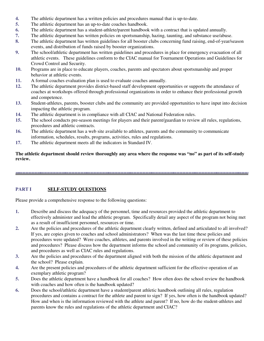- **4.** The athletic department has a written policies and procedures manual that is up-to-date.
- **5.** The athletic department has an up-to-date coaches handbook.
- **6.** The athletic department has a student-athlete/parent handbook with a contract that is updated annually.
- **7.** The athletic department has written policies on sportsmanship, hazing, taunting, and substance use/abuse.
- **8.** The athletic department has written guidelines for all booster clubs concerning fund raising, end-of-year/season events, and distribution of funds raised by booster organizations.
- **9.** The school/athletic department has written guidelines and procedures in place for emergency evacuation of all athletic events. These guidelines conform to the CIAC manual for Tournament Operations and Guidelines for Crowd Control and Security.
- **10.** Programs are in place to educate players, coaches, parents and spectators about sportsmanship and proper behavior at athletic events.
- **11.** A formal coaches evaluation plan is used to evaluate coaches annually.
- **12.** The athletic department provides district-based staff development opportunities or supports the attendance of coaches at workshops offered through professional organizations in order to enhance their professional growth and competence.
- **13.** Student-athletes, parents, booster clubs and the community are provided opportunities to have input into decision impacting the athletic program.
- **14.** The athletic department is in compliance with all CIAC and National Federation rules.
- **15.** The school conducts pre-season meetings for players and their parent/guardian to review all rules, regulations, procedures and athletic contracts.
- **16.** The athletic department has a web site available to athletes, parents and the community to communicate information, schedules, results, programs, activities, rules and regulations.
- **17.** The athletic department meets all the indicators in Standard IV.

**The athletic department should review thoroughly any area where the response was "no" as part of its self-study review.**

#### **PART I** SELF-STUDY QUESTIONS

Please provide a comprehensive response to the following questions:

- **1.** Describe and discuss the adequacy of the personnel, time and resources provided the athletic department to effectively administer and lead the athletic program. Specifically detail any aspect of the program not being met as a result of insufficient personnel, resources or time.
- **2.** Are the policies and procedures of the athletic department clearly written, defined and articulated to all involved? If yes, are copies given to coaches and school administrators? When was the last time these policies and procedures were updated? Were coaches, athletes, and parents involved in the writing or review of these policies and procedures? Please discuss how the department informs the school and community of its programs, policies, and procedures as well as CIAC rules and regulations.
- **3.** Are the policies and procedures of the department aligned with both the mission of the athletic department and the school? Please explain.
- **4.** Are the present policies and procedures of the athletic department sufficient for the effective operation of an exemplary athletic program?
- **5.** Does the athletic department have a handbook for all coaches? How often does the school review the handbook with coaches and how often is the handbook updated?
- **6.** Does the school/athletic department have a student/parent athletic handbook outlining all rules, regulation procedures and contains a contract for the athlete and parent to sign? If yes, how often is the handbook updated? How and when is the information reviewed with the athlete and parent? If no, how do the student-athletes and parents know the rules and regulations of the athletic department and CIAC?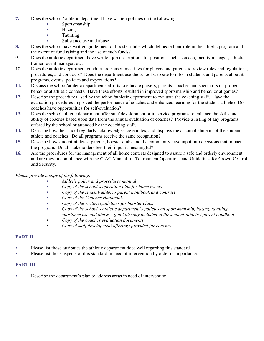- **7.** Does the school / athletic department have written policies on the following:
	- Sportsmanship
	- $\bullet$  Hazing
	- $\bullet$  Taunting
	- Substance use and abuse
- **8.** Does the school have written guidelines for booster clubs which delineate their role in the athletic program and the extent of fund raising and the use of such funds?
- 9. Does the athletic department have written job descriptions for positions such as coach, faculty manager, athletic trainer, event manager, etc.
- 10. Does the athletic department conduct pre-season meetings for players and parents to review rules and regulations, procedures, and contracts? Does the department use the school web site to inform students and parents about its programs, events, policies and expectations?
- **11.** Discuss the school/athletic departments efforts to educate players, parents, coaches and spectators on proper behavior at athletic contests. Have these efforts resulted in improved sportsmanship and behavior at games?
- **12.** Describe the procedures used by the school/athletic department to evaluate the coaching staff. Have the evaluation procedures improved the performance of coaches and enhanced learning for the student-athlete? Do coaches have opportunities for self-evaluation?
- **13.** Does the school athletic department offer staff development or in-service programs to enhance the skills and ability of coaches based upon data from the annual evaluation of coaches? Provide a listing of any programs offered by the school or attended by the coaching staff.
- **14.** Describe how the school regularly acknowledges, celebrates, and displays the accomplishments of the studentathlete and coaches. Do all programs receive the same recognition?
- **15.** Describe how student-athletes, parents, booster clubs and the community have input into decisions that impact the program. Do all stakeholders feel their input is meaningful?
- **16.** Are the procedures for the management of all home contests designed to assure a safe and orderly environment and are they in compliance with the CIAC Manual for Tournament Operations and Guidelines for Crowd Control and Security.

#### *Please provide a copy of the following:*

- C *Athletic policy and procedures manual*
- Copy of the school's operation plan for home events
- C *Copy of the student-athlete / parent handbook and contract*
- C *Copy of the Coaches Handbook*
- Copy of the written guidelines for booster clubs
- C *Copy of the school's athletic department's policies on sportsmanship, hazing, taunting, substance use and abuse – if not already included in the student-athlete / parent handbook*
- C *Copy of the coaches evaluation documents*
- C *Copy of staff development offerings provided for coaches*

#### **PART II**

- Please list those attributes the athletic department does well regarding this standard.
- Please list those aspects of this standard in need of intervention by order of importance.

#### **PART III**

• Describe the department's plan to address areas in need of intervention.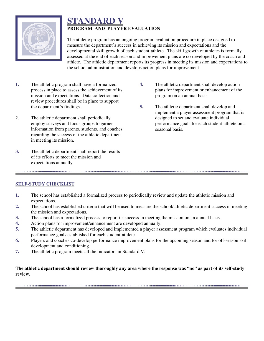

### **STANDARD V PROGRAM AND PLAYER EVALUATION**

The athletic program has an ongoing program evaluation procedure in place designed to measure the department's success in achieving its mission and expectations and the developmental skill growth of each student-athlete. The skill growth of athletes is formally assessed at the end of each season and improvement plans are co-developed by the coach and athlete. The athletic department reports its progress in meeting its mission and expectations to the school administration and develops action plans for improvement.

- **1.** The athletic program shall have a formalized process in place to assess the achievement of its mission and expectations. Data collection and review procedures shall be in place to support the department's findings.
- 2. The athletic department shall periodically employ surveys and focus groups to garner information from parents, students, and coaches regarding the success of the athletic department in meeting its mission.
- **3.** The athletic department shall report the results of its efforts to meet the mission and expectations annually.
- **4.** The athletic department shall develop action plans for improvement or enhancement of the program on an annual basis.
- **5.** The athletic department shall develop and implement a player assessment program that is designed to set and evaluate individual performance goals for each student-athlete on a seasonal basis.

#### **SELF-STUDY CHECKLIST**

- **1.** The school has established a formalized process to periodically review and update the athletic mission and expectations.
- **2.** The school has established criteria that will be used to measure the school/athletic department success in meeting the mission and expectations.

- **3.** The school has a formalized process to report its success in meeting the mission on an annual basis.
- **4.** Action plans for improvement/enhancement are developed annually.
- **5.** The athletic department has developed and implemented a player assessment program which evaluates individual performance goals established for each student-athlete.
- **6.** Players and coaches co-develop performance improvement plans for the upcoming season and for off-season skill development and conditioning.
- **7.** The athletic program meets all the indicators in Standard V.

#### **The athletic department should review thoroughly any area where the response was "no" as part of its self-study review.**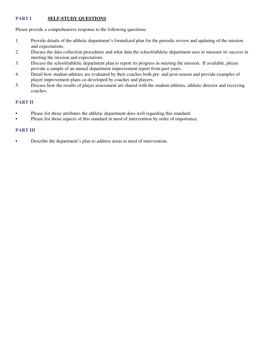#### **PART I** SELF-STUDY QUESTIONS

Please provide a comprehensive response to the following questions:

- 1. Provide details of the athletic department's formalized plan for the periodic review and updating of the mission and expectations.
- 2. Discuss the data collection procedures and what data the school/athletic department uses to measure its success in meeting the mission and expectations.
- 3. Discuss the school/athletic department plan to report its progress in meeting the mission. If available, please provide a sample of an annual department improvement report from past years.
- 4. Detail how student-athletes are evaluated by their coaches both pre- and post-season and provide examples of player improvement plans co-developed by coaches and players.
- 5. Discuss how the results of player assessment are shared with the student-athletes, athletic director and receiving coaches.

#### **PART II**

- Please list those attributes the athletic department does well regarding this standard.
- Please list those aspects of this standard in need of intervention by order of importance.

#### **PART III**

• Describe the department's plan to address areas in need of intervention.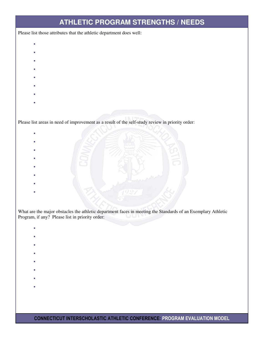### **ATHLETIC PROGRAM STRENGTHS / NEEDS**

Please list those attributes that the athletic department does well:

- $\bullet$
- **e**
- **e**
- 
- **e**
- **e**
- **e**
- **e**
- **e**
- 

Please list areas in need of improvement as a result of the self-study review in priority order:

- **e e**
- **e**
- **e**
- 
- **e**
- **e**
- **e**
- 
- **e**

What are the major obstacles the athletic department faces in meeting the Standards of an Exemplary Athletic Program, if any? Please list in priority order:

- **e**
- **e**
- 
- **e**
- **e**
- **e**
- **e**
- 
- **e**
- **e**

CONNECTICUT INTERSCHOLASTIC ATHLETIC CONFERENCE: PROGRAM EVALUATION MODEL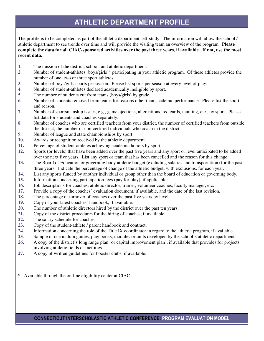### **ATHLETIC DEPARTMENT PROFILE**

The profile is to be completed as part of the athletic department self-study. The information will allow the school / athletic department to see trends over time and will provide the visiting team an overview of the program. **Please complete the data for all CIAC-sponsored activities over the past three years, if available. If not, use the most recent data.**

- **1.** The mission of the district, school, and athletic department.
- **2.** Number of student-athletes (boys/girls)\* participating in your athletic program. Of these athletes provide the number of one, two or three sport athletes.
- **3.** Number of boys/girls sports per season. Please list sports per season at every level of play.
- **4.** Number of student-athletes declared academically ineligible by sport.
- **5**. The number of students cut from teams (boys/girls) by grade.
- **6.** Number of students removed from teams for reasons other than academic performance. Please list the sport and reason.
- **7.** Number of sportsmanship issues, e.g., game ejections, altercations, red cards, taunting, etc., by sport. Please list data for students and coaches separately.
- **8.** Number of coaches who are certified teachers from your district, the number of certified teachers from outside the district, the number of non-certified individuals who coach in the district.
- **9.** Number of league and state championships by sport.
- **10.** Awards or recognition received by the athletic department.
- **11.** Percentage of student-athletes achieving academic honors by sport.
- **12.** Sports (or levels) that have been added over the past five years and any sport or level anticipated to be added over the next five years. List any sport or team that has been cancelled and the reason for this change.
- **13.** The Board of Education or governing body athletic budget (excluding salaries and transportation) for the past three years. Indicate the percentage of change of the athletic budget, with exclusions, for each year.
- **14.** List any sports funded by another individual or group other than the board of education or governing body.
- **15.** Information concerning participation fees (pay for play), if applicable. .
- **16.** Job descriptions for coaches, athletic director, trainer, volunteer coaches, faculty manager, etc.
- **17.** Provide a copy of the coaches' evaluation document, if available, and the date of the last revision.
- **18.** The percentage of turnover of coaches over the past five years by level.
- **19.** Copy of your latest coaches' handbook, if available.
- **20.** The number of athletic directors hired by the district over the past ten years.
- **21.** Copy of the district procedures for the hiring of coaches, if available.
- **22.** The salary schedule for coaches.
- **23.** Copy of the student-athlete / parent handbook and contract.
- **24**. Information concerning the role of the Title IX coordinator in regard to the athletic program, if available.
- **25**. Sample of curriculum guides, play books, modules or units developed by the school's athletic department.
- **26**. A copy of the district's long range plan (or capital improvement plan), if available that provides for projects involving athletic fields or facilities.
- **27**. A copy of written guidelines for booster clubs, if available.

\* Available through the on-line eligibility center at CIAC

#### CONNECTICUT INTERSCHOLASTIC ATHLETIC CONFERENCE: PROGRAM EVALUATION MODEL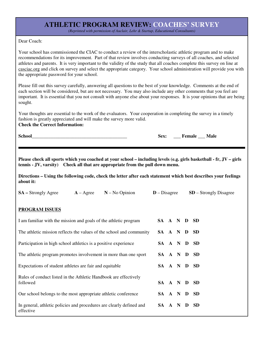### **ATHLETIC PROGRAM REVIEW: COACHES' SURVEY**

*(Reprinted with permission of Auclair, Lehr & Startup, Educational Consultants)*

#### Dear Coach:

Your school has commissioned the CIAC to conduct a review of the interscholastic athletic program and to make recommendations for its improvement. Part of that review involves conducting surveys of all coaches, and selected athletes and parents. It is very important to the validity of the study that all coaches complete this survey on line at casciac.org and click on survey and select the appropriate category. Your school administration will provide you with the appropriate password for your school.

Please fill out this survey carefully, answering all questions to the best of your knowledge. Comments at the end of each section will be considered, but are not necessary. You may also include any other comments that you feel are important. It is essential that you not consult with anyone else about your responses. It is your opinions that are being sought.

Your thoughts are essential to the work of the evaluators. Your cooperation in completing the survey in a timely fashion is greatly appreciated and will make the survey more valid. **Check the Correct Information:**

| <b>School</b> |  |  |
|---------------|--|--|
|               |  |  |

| School | Sex: | Female | 'м<br>Vlale |
|--------|------|--------|-------------|
|--------|------|--------|-------------|

**Please check all sports which you coached at your school – including levels (e.g. girls basketball - fr, JV – girls tennis - JV, varsity) Check all that are appropriate from the pull down menu.**

**Directions – Using the following code, check the letter after each statement which best describes your feelings about it:**

| <b>SA</b> – Strongly Agree                                                        | $A - \text{Agree}$ | $N - No$ Opinion | $D$ – Disagree |  |   | $SD -$ Strongly Disagree |  |
|-----------------------------------------------------------------------------------|--------------------|------------------|----------------|--|---|--------------------------|--|
|                                                                                   |                    |                  |                |  |   |                          |  |
| <b>PROGRAM ISSUES</b>                                                             |                    |                  |                |  |   |                          |  |
| I am familiar with the mission and goals of the athletic program                  |                    |                  | SA A N D       |  |   | - SD                     |  |
| The athletic mission reflects the values of the school and community              |                    |                  | SA A N D       |  |   | <b>SD</b>                |  |
| Participation in high school athletics is a positive experience                   |                    |                  | SA A N D       |  |   | - SD                     |  |
| The athletic program promotes involvement in more than one sport                  |                    |                  | SA A N D       |  |   | <b>SD</b>                |  |
| Expectations of student athletes are fair and equitable                           |                    |                  | SA A N D       |  |   | <b>SD</b>                |  |
| Rules of conduct listed in the Athletic Handbook are effectively                  |                    |                  |                |  |   |                          |  |
| followed                                                                          |                    |                  | SA A N         |  | D | <b>SD</b>                |  |
| Our school belongs to the most appropriate athletic conference                    |                    |                  | SA A N D       |  |   | <b>SD</b>                |  |
| In general, athletic policies and procedures are clearly defined and<br>effective |                    |                  | SA A N         |  | D | <b>SD</b>                |  |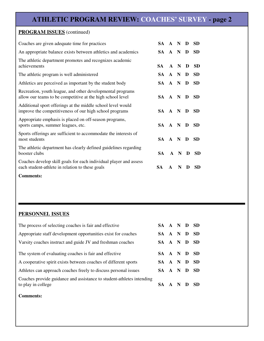### **ATHLETIC PROGRAM REVIEW: COACHES' SURVEY - page 2**

### **PROGRAM ISSUES** (continued)

| Coaches are given adequate time for practices                                                                            | SA A N D |              |       |   | <b>SD</b> |
|--------------------------------------------------------------------------------------------------------------------------|----------|--------------|-------|---|-----------|
| An appropriate balance exists between athletics and academics                                                            | SA A N D |              |       |   | <b>SD</b> |
| The athletic department promotes and recognizes academic<br>achievements                                                 | SA A N   |              |       | D | <b>SD</b> |
| The athletic program is well administered                                                                                | SA A N D |              |       |   | <b>SD</b> |
| Athletics are perceived as important by the student body                                                                 | SA A N D |              |       |   | <b>SD</b> |
| Recreation, youth league, and other developmental programs<br>allow our teams to be competitive at the high school level | SA A N D |              |       |   | <b>SD</b> |
| Additional sport offerings at the middle school level would<br>improve the competitiveness of our high school programs   | SA A N D |              |       |   | <b>SD</b> |
| Appropriate emphasis is placed on off-season programs,<br>sports camps, summer leagues, etc.                             | SA A N D |              |       |   | <b>SD</b> |
| Sports offerings are sufficient to accommodate the interests of<br>most students                                         | SA A N D |              |       |   | <b>SD</b> |
| The athletic department has clearly defined guidelines regarding<br>booster clubs                                        | SA.      |              | A N D |   | <b>SD</b> |
| Coaches develop skill goals for each individual player and assess<br>each student-athlete in relation to these goals     | SА       | $\mathbf{A}$ | N     | Ð | <b>SD</b> |

**Comments:**

#### **PERSONNEL ISSUES**

| The process of selecting coaches is fair and effective                                      | SA A N D SD |  |      |
|---------------------------------------------------------------------------------------------|-------------|--|------|
| Appropriate staff development opportunities exist for coaches                               | SA A N D    |  | - SD |
| Varsity coaches instruct and guide JV and freshman coaches                                  | SA A N D    |  | - SD |
| The system of evaluating coaches is fair and effective                                      | SA A N D SD |  |      |
| A cooperative spirit exists between coaches of different sports                             | SA A N D    |  | - SD |
| Athletes can approach coaches freely to discuss personal issues                             | SA A N D    |  | - SD |
| Coaches provide guidance and assistance to student-athletes intending<br>to play in college | SA A N D    |  | - SD |

**Comments:**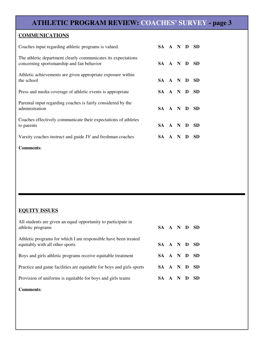### **ATHLETIC PROGRAM REVIEW: COACHES' SURVEY - page 3**

#### **COMMUNICATIONS**

| Coaches input regarding athletic programs is valued.                                                       | SA A N D SD |              |     |   |           |
|------------------------------------------------------------------------------------------------------------|-------------|--------------|-----|---|-----------|
| The athletic department clearly communicates its expectations<br>concerning sportsmanship and fan behavior | SA A N D SD |              |     |   |           |
| Athletic achievements are given appropriate exposure within<br>the school                                  | SA A N D SD |              |     |   |           |
| Press and media coverage of athletic events is appropriate                                                 | SA A N D    |              |     |   | <b>SD</b> |
| Parental input regarding coaches is fairly considered by the<br>administration                             | SA A N D SD |              |     |   |           |
| Coaches effectively communicate their expectations of athletes<br>to parents                               | SA A N D    |              |     |   | <b>SD</b> |
| Varsity coaches instruct and guide JV and freshman coaches                                                 | SA.         | $\mathbf{A}$ | - N | D | <b>SD</b> |

#### **Comments**:

### **EQUITY ISSUES**

| All students are given an equal opportunity to participate in<br>athletic programs                | SA A N D SD |  |      |
|---------------------------------------------------------------------------------------------------|-------------|--|------|
| Athletic programs for which I am responsible have been treated<br>equitably with all other sports | SA A N D SD |  |      |
| Boys and girls athletic programs receive equitable treatment                                      | SA A N D SD |  |      |
| Practice and game facilities are equitable for boys and girls sports                              | SA A N D SD |  |      |
| Provision of uniforms is equitable for boys and girls teams                                       | SA A N D    |  | - SD |

#### **Comments**: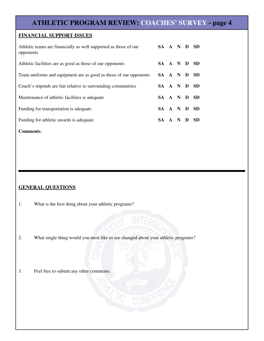### **ATHLETIC PROGRAM REVIEW: COACHES' SURVEY - page 4**

#### **FINANCIAL SUPPORT ISSUES**

| Athletic teams are financially as well supported as those of our<br>opponents | SA A N D SD |  |   |      |
|-------------------------------------------------------------------------------|-------------|--|---|------|
| Athletic facilities are as good as those of our opponents                     | SA A N D    |  |   | - SD |
| Team uniforms and equipment are as good as those of our opponents             | SA A N D    |  |   | -SD  |
| Coach's stipends are fair relative to surrounding communities                 | SA A N D    |  |   | - SD |
| Maintenance of athletic facilities is adequate                                | SA A N D SD |  |   |      |
| Funding for transportation is adequate                                        | SA A N D    |  |   | - SD |
| Funding for athletic awards is adequate                                       | SA A N      |  | Ð | SD   |

**Comments**:

#### **GENERAL QUESTIONS**

- 1. What is the best thing about your athletic programs?
- 2. What single thing would you most like to see changed about your athletic programs?
- 3. Feel free to submit any other comments.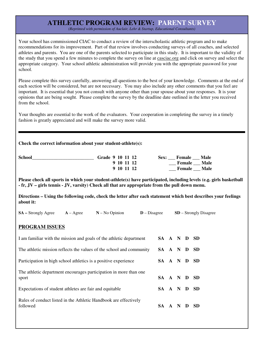### **ATHLETIC PROGRAM REVIEW: PARENT SURVEY**

*(Reprinted with permission of Auclair, Lehr & Startup, Educational Consultants)*

Your school has commissioned CIAC to conduct a review of the interscholastic athletic program and to make recommendations for its improvement. Part of that review involves conducting surveys of all coaches, and selected athletes and parents. You are one of the parents selected to participate in this study. It is important to the validity of the study that you spend a few minutes to complete the survey on line at casciac.org and click on survey and select the appropriate category. Your school athletic administration will provide you with the appropriate password for your school.

Please complete this survey carefully, answering all questions to the best of your knowledge. Comments at the end of each section will be considered, but are not necessary. You may also include any other comments that you feel are important. It is essential that you not consult with anyone other than your spouse about your responses. It is your opinions that are being sought. Please complete the survey by the deadline date outlined in the letter you received from the school.

Your thoughts are essential to the work of the evaluators. Your cooperation in completing the survey in a timely fashion is greatly appreciated and will make the survey more valid.

| <b>School</b> | Grade 9 10 11 12 | Male<br>Female<br>Sex: |
|---------------|------------------|------------------------|
|               | 9 10 11 12       | <b>Female</b> Male     |
|               | 9 10 11 12       | <b>Male</b><br>Female  |

**Please check all sports in which your student-athlete(s) have participated, including levels (e.g. girls basketball - fr, JV – girls tennis - JV, varsity) Check all that are appropriate from the pull down menu.**

**Directions – Using the following code, check the letter after each statement which best describes your feelings about it:**

| <b>SA</b> – Strongly Agree                                                   | $A - \text{Agree}$ | $N - No$ Opinion | $D$ – Disagree |          |  |     | $SD -$ Strongly Disagree |  |
|------------------------------------------------------------------------------|--------------------|------------------|----------------|----------|--|-----|--------------------------|--|
| <b>PROGRAM ISSUES</b>                                                        |                    |                  |                |          |  |     |                          |  |
| I am familiar with the mission and goals of the athletic department          |                    |                  |                | SA A N D |  |     | SD.                      |  |
| The athletic mission reflects the values of the school and community         |                    |                  |                | SA A N D |  |     | <b>SD</b>                |  |
| Participation in high school athletics is a positive experience              |                    |                  |                | SA A N D |  |     | <b>SD</b>                |  |
| The athletic department encourages participation in more than one<br>sport   |                    |                  |                | SA A N D |  |     | <b>SD</b>                |  |
| Expectations of student athletes are fair and equitable                      |                    |                  |                | SA A N D |  |     | <b>SD</b>                |  |
| Rules of conduct listed in the Athletic Handbook are effectively<br>followed |                    |                  |                | SA A N   |  | - D | <b>SD</b>                |  |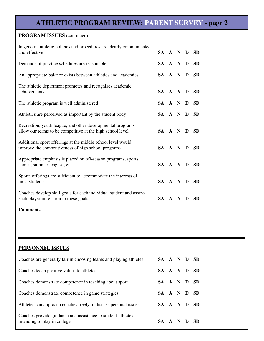### **ATHLETIC PROGRAM REVIEW: PARENT SURVEY - page 2**

#### **PROGRAM ISSUES** (continued)

| In general, athletic policies and procedures are clearly communicated<br>and effective                                   | SA A N D |     |   | <b>SD</b> |  |
|--------------------------------------------------------------------------------------------------------------------------|----------|-----|---|-----------|--|
| Demands of practice schedules are reasonable                                                                             | SA A N   |     | D | <b>SD</b> |  |
| An appropriate balance exists between athletics and academics                                                            | SA A N   |     | D | <b>SD</b> |  |
| The athletic department promotes and recognizes academic<br>achievements                                                 | SA A N D |     |   | <b>SD</b> |  |
| The athletic program is well administered                                                                                | SA A N   |     | D | <b>SD</b> |  |
| Athletics are perceived as important by the student body                                                                 | SA A N D |     |   | <b>SD</b> |  |
| Recreation, youth league, and other developmental programs<br>allow our teams to be competitive at the high school level | SA A N D |     |   | <b>SD</b> |  |
| Additional sport offerings at the middle school level would<br>improve the competitiveness of high school programs       | SA A N   |     | D | <b>SD</b> |  |
| Appropriate emphasis is placed on off-season programs, sports<br>camps, summer leagues, etc.                             | SA A N   |     | D | <b>SD</b> |  |
| Sports offerings are sufficient to accommodate the interests of<br>most students                                         | SA A N   |     | D | <b>SD</b> |  |
| Coaches develop skill goals for each individual student and assess<br>each player in relation to these goals             | SA       | A N | D | <b>SD</b> |  |
| <b>Comments:</b>                                                                                                         |          |     |   |           |  |

#### **PERSONNEL ISSUES**

| Coaches are generally fair in choosing teams and playing athletes                           | SA A N D SD |  |     |
|---------------------------------------------------------------------------------------------|-------------|--|-----|
| Coaches teach positive values to athletes                                                   | SA A N D SD |  |     |
| Coaches demonstrate competence in teaching about sport                                      | SA A N D SD |  |     |
| Coaches demonstrate competence in game strategies                                           | SA A N D SD |  |     |
| Athletes can approach coaches freely to discuss personal issues                             | SA A N D SD |  |     |
| Coaches provide guidance and assistance to student-athletes<br>intending to play in college | SA A N D    |  | -SD |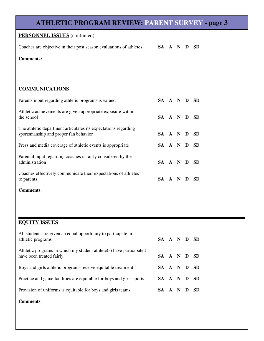| <b>ATHLETIC PROGRAM REVIEW: PARENT SURVEY - page 3</b>                                                  |           |     |     |   |           |
|---------------------------------------------------------------------------------------------------------|-----------|-----|-----|---|-----------|
| <b>PERSONNEL ISSUES</b> (continued)                                                                     |           |     |     |   |           |
| Coaches are objective in their post season evaluations of athletes                                      | SA A N D  |     |     |   | <b>SD</b> |
| <b>Comments:</b>                                                                                        |           |     |     |   |           |
|                                                                                                         |           |     |     |   |           |
| <b>COMMUNICATIONS</b>                                                                                   |           |     |     |   |           |
| Parents input regarding athletic programs is valued                                                     | SA A N D  |     |     |   | <b>SD</b> |
| Athletic achievements are given appropriate exposure within<br>the school                               | SA A N D  |     |     |   | <b>SD</b> |
| The athletic department articulates its expectations regarding<br>sportsmanship and proper fan behavior | SA A N D  |     |     |   | - SD      |
| Press and media coverage of athletic events is appropriate                                              | SA A N D  |     |     |   | <b>SD</b> |
| Parental input regarding coaches is fairly considered by the<br>administration                          | SA A N D  |     |     |   | <b>SD</b> |
| Coaches effectively communicate their expectations of athletes<br>to parents                            | SA A N D  |     |     |   | <b>SD</b> |
| <b>Comments:</b>                                                                                        |           |     |     |   |           |
|                                                                                                         |           |     |     |   |           |
| <b>EQUITY ISSUES</b>                                                                                    |           |     |     |   |           |
| All students are given an equal opportunity to participate in<br>athletic programs                      | SA A N D  |     |     |   | <b>SD</b> |
| Athletic programs in which my student athlete $(s)$ have participated<br>have been treated fairly       | SA A N D  |     |     |   | <b>SD</b> |
| Boys and girls athletic programs receive equitable treatment                                            | <b>SA</b> |     | A N | D | <b>SD</b> |
| Practice and game facilities are equitable for boys and girls sports                                    | <b>SA</b> | A N |     | D | <b>SD</b> |

Provision of uniforms is equitable for boys and girls teams **SA A N D SD** 

**Comments**: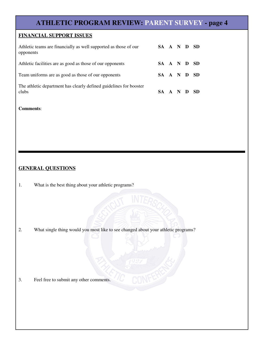### **ATHLETIC PROGRAM REVIEW: PARENT SURVEY - page 4**

#### **FINANCIAL SUPPORT ISSUES**

| Athletic teams are financially as well supported as those of our<br>opponents | SA A N D SD |  |      |
|-------------------------------------------------------------------------------|-------------|--|------|
| Athletic facilities are as good as those of our opponents                     | SA A N D SD |  |      |
| Team uniforms are as good as those of our opponents                           | SA A N D SD |  |      |
| The athletic department has clearly defined guidelines for booster<br>clubs   | SA A N D    |  | - SD |

#### **Comments**:

#### **GENERAL QUESTIONS**

1. What is the best thing about your athletic programs?

2. What single thing would you most like to see changed about your athletic programs?

3. Feel free to submit any other comments.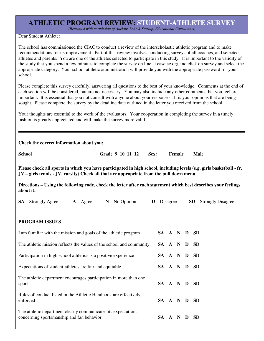## **ATHLETIC PROGRAM REVIEW: STUDENT-ATHLETE SURVEY**

*(Reprinted with permission of Auclair, Lehr & Startup, Educational Consultants)*

Dear Student Athlete:

The school has commissioned the CIAC to conduct a review of the interscholastic athletic program and to make recommendations for its improvement. Part of that review involves conducting surveys of all coaches, and selected athletes and parents. You are one of the athletes selected to participate in this study. It is important to the validity of the study that you spend a few minutes to complete the survey on line at casciac.org and click on survey and select the appropriate category. Your school athletic administration will provide you with the appropriate password for your school.

Please complete this survey carefully, answering all questions to the best of your knowledge. Comments at the end of each section will be considered, but are not necessary. You may also include any other comments that you feel are important. It is essential that you not consult with anyone about your responses. It is your opinions that are being sought. Please complete the survey by the deadline date outlined in the letter you received from the school.

Your thoughts are essential to the work of the evaluators. Your cooperation in completing the survey in a timely fashion is greatly appreciated and will make the survey more valid.

**Check the correct information about you:**

**School\_\_\_\_\_\_\_\_\_\_\_\_\_\_\_\_\_\_\_\_\_\_\_\_\_\_ Grade 9 10 11 12 Sex: \_\_\_ Female \_\_\_ Male**

**Please check all sports in which you have participated in high school, including levels (e.g. girls basketball - fr, JV – girls tennis - JV, varsity) Check all that are appropriate from the pull down menu.**

**Directions – Using the following code, check the letter after each statement which best describes your feelings about it:**

**SA** – Strongly Agree **A** – Agree **N** – No Opinion **D** – Disagree **SD** – Strongly Disagree

#### **PROGRAM ISSUES**

| I am familiar with the mission and goals of the athletic program                                           | SA A N D SD |     |   |           |  |
|------------------------------------------------------------------------------------------------------------|-------------|-----|---|-----------|--|
| The athletic mission reflects the values of the school and community                                       | SA A N D    |     |   | - SD      |  |
| Participation in high school athletics is a positive experience                                            | SA A N      |     | D | <b>SD</b> |  |
| Expectations of student-athletes are fair and equitable                                                    | SA A N D    |     |   | - SD      |  |
| The athletic department encourages participation in more than one<br>sport                                 | SA A N D SD |     |   |           |  |
| Rules of conduct listed in the Athletic Handbook are effectively<br>enforced                               | SA A N D    |     |   | -SD       |  |
| The athletic department clearly communicates its expectations<br>concerning sportsmanship and fan behavior | SA.         | A N | D | SD.       |  |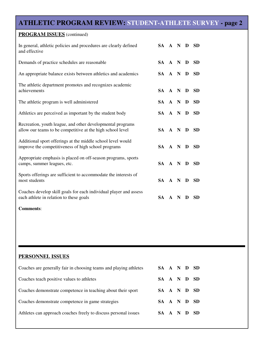### **ATHLETIC PROGRAM REVIEW: STUDENT-ATHLETE SURVEY - page 2**

| <b>PROGRAM ISSUES</b> (continued)                                                                                        |           |              |             |   |           |
|--------------------------------------------------------------------------------------------------------------------------|-----------|--------------|-------------|---|-----------|
| In general, athletic policies and procedures are clearly defined<br>and effective                                        | SA A N D  |              |             |   | <b>SD</b> |
| Demands of practice schedules are reasonable                                                                             | SA A N D  |              |             |   | <b>SD</b> |
| An appropriate balance exists between athletics and academics                                                            | SA A N D  |              |             |   | <b>SD</b> |
| The athletic department promotes and recognizes academic<br>achievements                                                 | SA A N D  |              |             |   | <b>SD</b> |
| The athletic program is well administered                                                                                | SA A N D  |              |             |   | <b>SD</b> |
| Athletics are perceived as important by the student body                                                                 | SA A N    |              |             | D | <b>SD</b> |
| Recreation, youth league, and other developmental programs<br>allow our teams to be competitive at the high school level | SA A N D  |              |             |   | <b>SD</b> |
| Additional sport offerings at the middle school level would<br>improve the competitiveness of high school programs       | SA A N    |              |             | D | <b>SD</b> |
| Appropriate emphasis is placed on off-season programs, sports<br>camps, summer leagues, etc.                             | SA A N D  |              |             |   | <b>SD</b> |
| Sports offerings are sufficient to accommodate the interests of<br>most students                                         | SA A N    |              |             | D | <b>SD</b> |
| Coaches develop skill goals for each individual player and assess<br>each athlete in relation to these goals             | <b>SA</b> | $\mathbf{A}$ | $\mathbf N$ | D | <b>SD</b> |
| <b>Comments:</b>                                                                                                         |           |              |             |   |           |

### **PERSONNEL ISSUES**

| Coaches are generally fair in choosing teams and playing athletes | SA A N D SD |  |  |
|-------------------------------------------------------------------|-------------|--|--|
| Coaches teach positive values to athletes                         | SA A N D SD |  |  |
| Coaches demonstrate competence in teaching about their sport      | SA A N D SD |  |  |
| Coaches demonstrate competence in game strategies                 | SA A N D SD |  |  |
| Athletes can approach coaches freely to discuss personal issues   | SA A N D SD |  |  |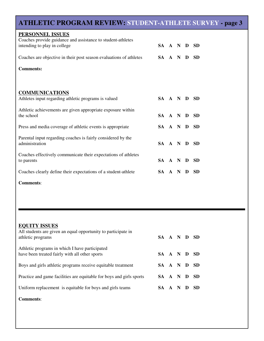## **ATHLETIC PROGRAM REVIEW: STUDENT-ATHLETE SURVEY - page 3**

| PERSONNEL ISSUES<br>Coaches provide guidance and assistance to student-athletes |          |  |   |           |
|---------------------------------------------------------------------------------|----------|--|---|-----------|
| intending to play in college                                                    | SA A N D |  |   | <b>SD</b> |
| Coaches are objective in their post season evaluations of athletes              | SA A N   |  | D | <b>SD</b> |
| <b>Comments:</b>                                                                |          |  |   |           |
|                                                                                 |          |  |   |           |
| <b>COMMUNICATIONS</b>                                                           |          |  |   |           |
| Athletes input regarding athletic programs is valued                            | SA A N D |  |   | <b>SD</b> |
| Athletic achievements are given appropriate exposure within<br>the school       | SA A N D |  |   | <b>SD</b> |
| Press and media coverage of athletic events is appropriate                      | SA A N D |  |   | <b>SD</b> |
| Parental input regarding coaches is fairly considered by the<br>administration  | SA A N D |  |   | <b>SD</b> |
| Coaches effectively communicate their expectations of athletes<br>to parents    | SA A N   |  | D | <b>SD</b> |
| Coaches clearly define their expectations of a student-athlete                  | SA A N   |  | D | <b>SD</b> |
|                                                                                 |          |  |   |           |

**Comments**:

| <b>EQUITY ISSUES</b><br>All students are given an equal opportunity to participate in<br>athletic programs | SA A N D SD |  |     |
|------------------------------------------------------------------------------------------------------------|-------------|--|-----|
| Athletic programs in which I have participated<br>have been treated fairly with all other sports           | SA A N D    |  | -SD |
| Boys and girls athletic programs receive equitable treatment                                               | SA A N D    |  | -SD |
| Practice and game facilities are equitable for boys and girls sports                                       | SA A N D    |  | -SD |
| Uniform replacement is equitable for boys and girls teams                                                  | SA A N D    |  | -SD |
| <b>Comments:</b>                                                                                           |             |  |     |